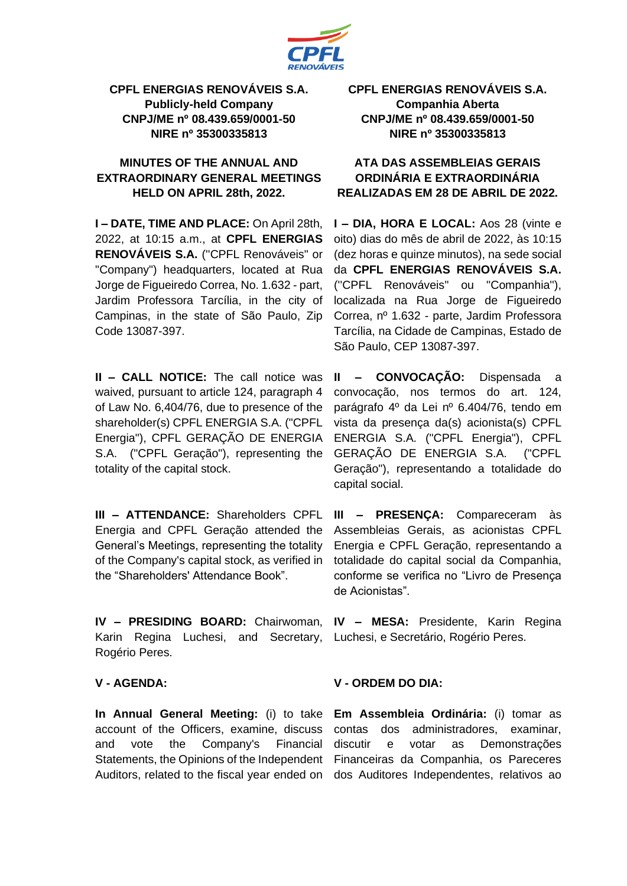

## **CPFL ENERGIAS RENOVÁVEIS S.A. Publicly-held Company CNPJ/ME nº 08.439.659/0001-50 NIRE nº 35300335813**

# **MINUTES OF THE ANNUAL AND EXTRAORDINARY GENERAL MEETINGS HELD ON APRIL 28th, 2022.**

**I – DATE, TIME AND PLACE:** On April 28th, 2022, at 10:15 a.m., at **CPFL ENERGIAS RENOVÁVEIS S.A.** (''CPFL Renováveis" or "Company") headquarters, located at Rua Jorge de Figueiredo Correa, No. 1.632 - part, Jardim Professora Tarcília, in the city of Campinas, in the state of São Paulo, Zip Code 13087-397.

**II – CALL NOTICE:** The call notice was waived, pursuant to article 124, paragraph 4 of Law No. 6,404/76, due to presence of the shareholder(s) CPFL ENERGIA S.A. ("CPFL Energia"), CPFL GERAÇÃO DE ENERGIA S.A. ("CPFL Geração"), representing the totality of the capital stock.

**III – ATTENDANCE:** Shareholders CPFL Energia and CPFL Geração attended the General's Meetings, representing the totality of the Company's capital stock, as verified in the "Shareholders' Attendance Book".

**IV – PRESIDING BOARD:** Chairwoman, Karin Regina Luchesi, and Secretary, Rogério Peres.

### **V - AGENDA:**

**In Annual General Meeting:** (i) to take account of the Officers, examine, discuss and vote the Company's Financial Statements, the Opinions of the Independent Auditors, related to the fiscal year ended on **CPFL ENERGIAS RENOVÁVEIS S.A. Companhia Aberta CNPJ/ME nº 08.439.659/0001-50 NIRE nº 35300335813**

# **ATA DAS ASSEMBLEIAS GERAIS ORDINÁRIA E EXTRAORDINÁRIA REALIZADAS EM 28 DE ABRIL DE 2022.**

**I – DIA, HORA E LOCAL:** Aos 28 (vinte e oito) dias do mês de abril de 2022, às 10:15 (dez horas e quinze minutos), na sede social da **CPFL ENERGIAS RENOVÁVEIS S.A.** (''CPFL Renováveis'' ou ''Companhia''), localizada na Rua Jorge de Figueiredo Correa, nº 1.632 - parte, Jardim Professora Tarcília, na Cidade de Campinas, Estado de São Paulo, CEP 13087-397.

**II – CONVOCAÇÃO:** Dispensada a convocação, nos termos do art. 124, parágrafo 4º da Lei nº 6.404/76, tendo em vista da presença da(s) acionista(s) CPFL ENERGIA S.A. ("CPFL Energia"), CPFL GERAÇÃO DE ENERGIA S.A. ("CPFL Geração"), representando a totalidade do capital social.

**III – PRESENÇA:** Compareceram às Assembleias Gerais, as acionistas CPFL Energia e CPFL Geração, representando a totalidade do capital social da Companhia, conforme se verifica no "Livro de Presença de Acionistas".

**IV – MESA:** Presidente, Karin Regina Luchesi, e Secretário, Rogério Peres.

#### **V - ORDEM DO DIA:**

**Em Assembleia Ordinária:** (i) tomar as contas dos administradores, examinar, discutir e votar as Demonstrações Financeiras da Companhia, os Pareceres dos Auditores Independentes, relativos ao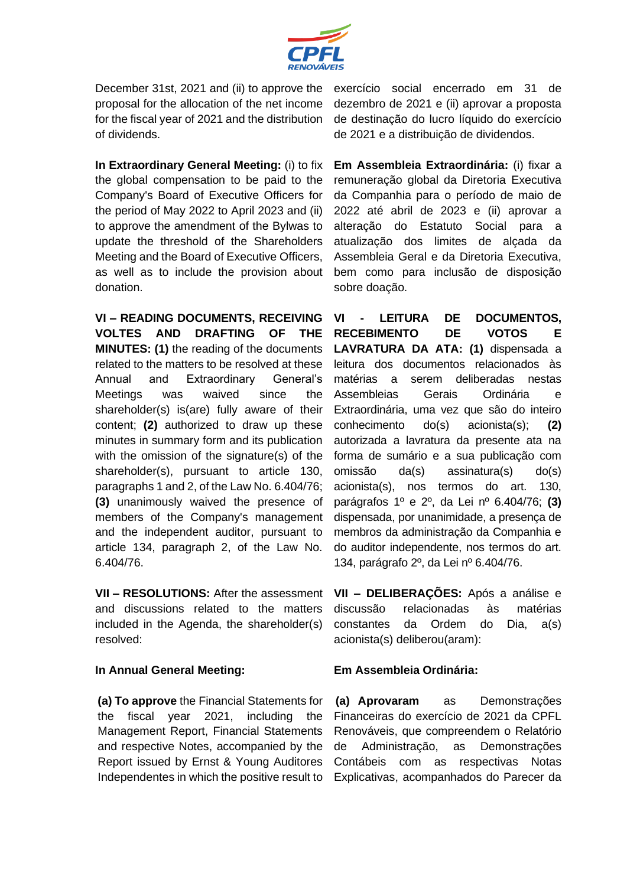

December 31st, 2021 and (ii) to approve the proposal for the allocation of the net income for the fiscal year of 2021 and the distribution of dividends.

**In Extraordinary General Meeting:** (i) to fix the global compensation to be paid to the Company's Board of Executive Officers for the period of May 2022 to April 2023 and (ii) to approve the amendment of the Bylwas to update the threshold of the Shareholders Meeting and the Board of Executive Officers, as well as to include the provision about donation.

**VI – READING DOCUMENTS, RECEIVING VOLTES AND DRAFTING OF THE MINUTES: (1)** the reading of the documents related to the matters to be resolved at these Annual and Extraordinary General's Meetings was waived since the shareholder(s) is(are) fully aware of their content; **(2)** authorized to draw up these minutes in summary form and its publication with the omission of the signature(s) of the shareholder(s), pursuant to article 130, paragraphs 1 and 2, of the Law No. 6.404/76; **(3)** unanimously waived the presence of members of the Company's management and the independent auditor, pursuant to article 134, paragraph 2, of the Law No. 6.404/76.

**VII – RESOLUTIONS:** After the assessment and discussions related to the matters included in the Agenda, the shareholder(s) resolved:

#### **In Annual General Meeting:**

**(a) To approve** the Financial Statements for the fiscal year 2021, including the Management Report, Financial Statements and respective Notes, accompanied by the Report issued by Ernst & Young Auditores Independentes in which the positive result to exercício social encerrado em 31 de dezembro de 2021 e (ii) aprovar a proposta de destinação do lucro líquido do exercício de 2021 e a distribuição de dividendos.

**Em Assembleia Extraordinária:** (i) fixar a remuneração global da Diretoria Executiva da Companhia para o período de maio de 2022 até abril de 2023 e (ii) aprovar a alteração do Estatuto Social para a atualização dos limites de alçada da Assembleia Geral e da Diretoria Executiva, bem como para inclusão de disposição sobre doação.

**VI - LEITURA DE DOCUMENTOS, RECEBIMENTO DE VOTOS E LAVRATURA DA ATA: (1)** dispensada a leitura dos documentos relacionados às matérias a serem deliberadas nestas Assembleias Gerais Ordinária e Extraordinária, uma vez que são do inteiro conhecimento do(s) acionista(s); **(2)** autorizada a lavratura da presente ata na forma de sumário e a sua publicação com omissão da(s) assinatura(s) do(s) acionista(s), nos termos do art. 130, parágrafos 1º e 2º, da Lei nº 6.404/76; **(3)** dispensada, por unanimidade, a presença de membros da administração da Companhia e do auditor independente, nos termos do art. 134, parágrafo 2º, da Lei nº 6.404/76.

**VII – DELIBERAÇÕES:** Após a análise e discussão relacionadas às matérias constantes da Ordem do Dia, a(s) acionista(s) deliberou(aram):

### **Em Assembleia Ordinária:**

**(a) Aprovaram** as Demonstrações Financeiras do exercício de 2021 da CPFL Renováveis, que compreendem o Relatório de Administração, as Demonstrações Contábeis com as respectivas Notas Explicativas, acompanhados do Parecer da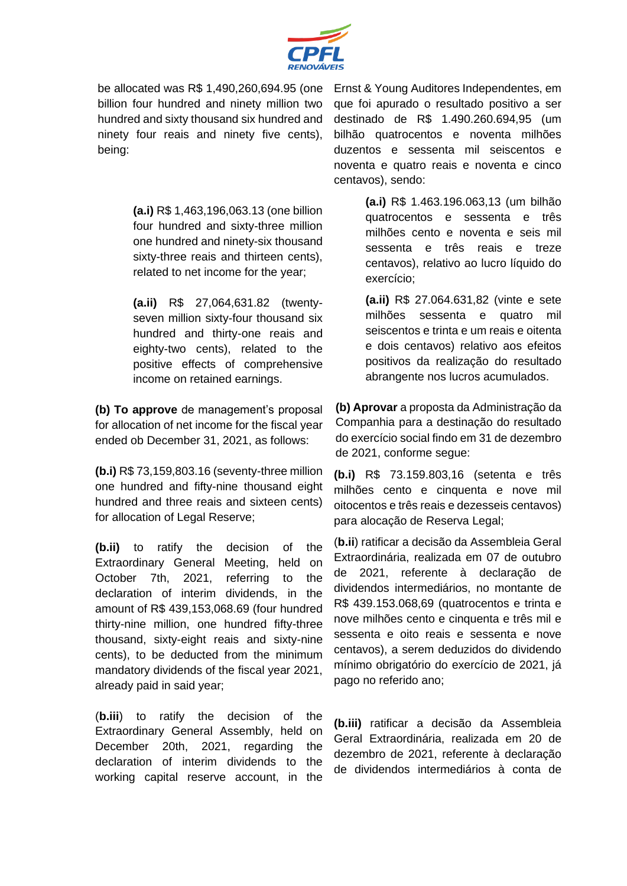

be allocated was R\$ 1,490,260,694.95 (one billion four hundred and ninety million two hundred and sixty thousand six hundred and ninety four reais and ninety five cents), being:

> **(a.i)** R\$ 1,463,196,063.13 (one billion four hundred and sixty-three million one hundred and ninety-six thousand sixty-three reais and thirteen cents), related to net income for the year;

> **(a.ii)** R\$ 27,064,631.82 (twentyseven million sixty-four thousand six hundred and thirty-one reais and eighty-two cents), related to the positive effects of comprehensive income on retained earnings.

**(b) To approve** de management's proposal for allocation of net income for the fiscal year ended ob December 31, 2021, as follows:

**(b.i)** R\$ 73,159,803.16 (seventy-three million one hundred and fifty-nine thousand eight hundred and three reais and sixteen cents) for allocation of Legal Reserve;

**(b.ii)** to ratify the decision of the Extraordinary General Meeting, held on October 7th, 2021, referring to the declaration of interim dividends, in the amount of R\$ 439,153,068.69 (four hundred thirty-nine million, one hundred fifty-three thousand, sixty-eight reais and sixty-nine cents), to be deducted from the minimum mandatory dividends of the fiscal year 2021, already paid in said year;

(**b.iii**) to ratify the decision of the Extraordinary General Assembly, held on December 20th, 2021, regarding the declaration of interim dividends to the working capital reserve account, in the

Ernst & Young Auditores Independentes, em que foi apurado o resultado positivo a ser destinado de R\$ 1.490.260.694,95 (um bilhão quatrocentos e noventa milhões duzentos e sessenta mil seiscentos e noventa e quatro reais e noventa e cinco centavos), sendo:

> **(a.i)** R\$ 1.463.196.063,13 (um bilhão quatrocentos e sessenta e três milhões cento e noventa e seis mil sessenta e três reais e treze centavos), relativo ao lucro líquido do exercício;

> **(a.ii)** R\$ 27.064.631,82 (vinte e sete milhões sessenta e quatro mil seiscentos e trinta e um reais e oitenta e dois centavos) relativo aos efeitos positivos da realização do resultado abrangente nos lucros acumulados.

**(b) Aprovar** a proposta da Administração da Companhia para a destinação do resultado do exercício social findo em 31 de dezembro de 2021, conforme segue:

**(b.i)** R\$ 73.159.803,16 (setenta e três milhões cento e cinquenta e nove mil oitocentos e três reais e dezesseis centavos) para alocação de Reserva Legal;

(**b.ii**) ratificar a decisão da Assembleia Geral Extraordinária, realizada em 07 de outubro de 2021, referente à declaração de dividendos intermediários, no montante de R\$ 439.153.068,69 (quatrocentos e trinta e nove milhões cento e cinquenta e três mil e sessenta e oito reais e sessenta e nove centavos), a serem deduzidos do dividendo mínimo obrigatório do exercício de 2021, já pago no referido ano;

**(b.iii)** ratificar a decisão da Assembleia Geral Extraordinária, realizada em 20 de dezembro de 2021, referente à declaração de dividendos intermediários à conta de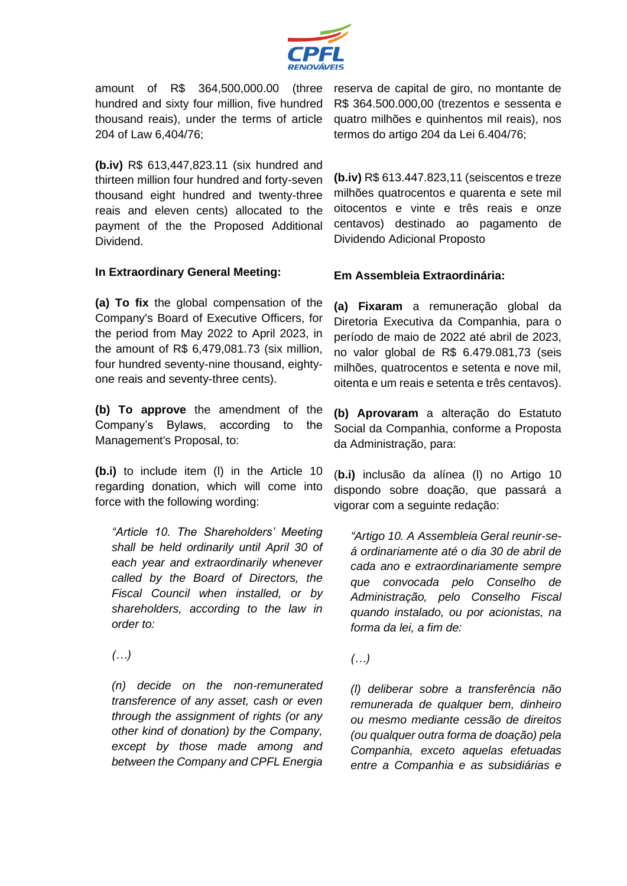

amount of R\$ 364,500,000.00 (three hundred and sixty four million, five hundred thousand reais), under the terms of article 204 of Law 6,404/76;

**(b.iv)** R\$ 613,447,823.11 (six hundred and thirteen million four hundred and forty-seven thousand eight hundred and twenty-three reais and eleven cents) allocated to the payment of the the Proposed Additional Dividend.

### **In Extraordinary General Meeting:**

**(a) To fix** the global compensation of the Company's Board of Executive Officers, for the period from May 2022 to April 2023, in the amount of R\$ 6,479,081.73 (six million, four hundred seventy-nine thousand, eightyone reais and seventy-three cents).

**(b) To approve** the amendment of the Company's Bylaws, according to the Management's Proposal, to:

**(b.i)** to include item (l) in the Article 10 regarding donation, which will come into force with the following wording:

*"Article 10. The Shareholders' Meeting shall be held ordinarily until April 30 of each year and extraordinarily whenever called by the Board of Directors, the Fiscal Council when installed, or by shareholders, according to the law in order to:*

*(…)*

*(n) decide on the non-remunerated transference of any asset, cash or even through the assignment of rights (or any other kind of donation) by the Company, except by those made among and between the Company and CPFL Energia* 

reserva de capital de giro, no montante de R\$ 364.500.000,00 (trezentos e sessenta e quatro milhões e quinhentos mil reais), nos termos do artigo 204 da Lei 6.404/76;

**(b.iv)** R\$ 613.447.823,11 (seiscentos e treze milhões quatrocentos e quarenta e sete mil oitocentos e vinte e três reais e onze centavos) destinado ao pagamento de Dividendo Adicional Proposto

## **Em Assembleia Extraordinária:**

**(a) Fixaram** a remuneração global da Diretoria Executiva da Companhia, para o período de maio de 2022 até abril de 2023, no valor global de R\$ 6.479.081,73 (seis milhões, quatrocentos e setenta e nove mil, oitenta e um reais e setenta e três centavos).

**(b) Aprovaram** a alteração do Estatuto Social da Companhia, conforme a Proposta da Administração, para:

(**b.i)** inclusão da alínea (l) no Artigo 10 dispondo sobre doação, que passará a vigorar com a seguinte redação:

*"Artigo 10. A Assembleia Geral reunir-seá ordinariamente até o dia 30 de abril de cada ano e extraordinariamente sempre que convocada pelo Conselho de Administração, pelo Conselho Fiscal quando instalado, ou por acionistas, na forma da lei, a fim de:*

### *(…)*

*(l) deliberar sobre a transferência não remunerada de qualquer bem, dinheiro ou mesmo mediante cessão de direitos (ou qualquer outra forma de doação) pela Companhia, exceto aquelas efetuadas entre a Companhia e as subsidiárias e*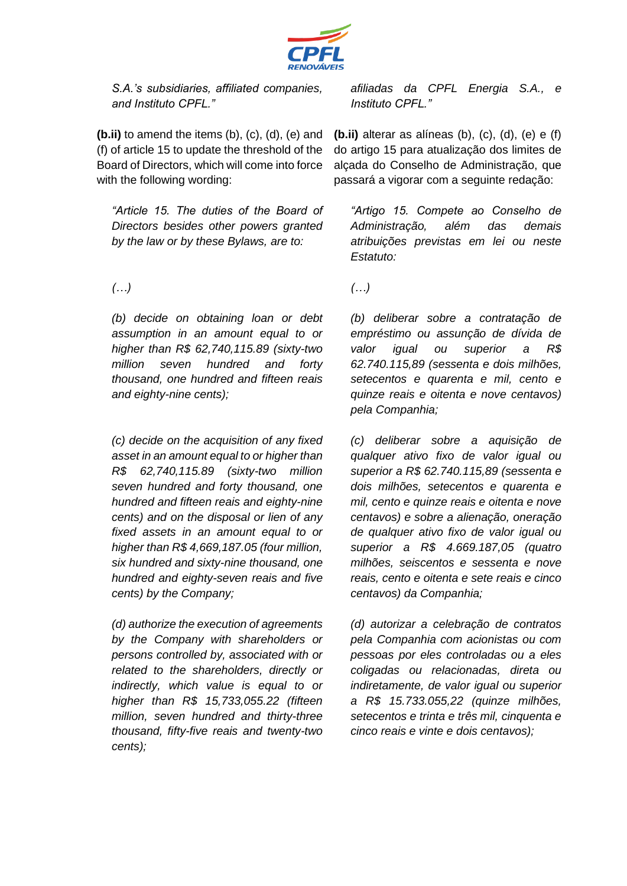

*S.A.'s subsidiaries, affiliated companies, and Instituto CPFL."*

**(b.ii)** to amend the items (b), (c), (d), (e) and (f) of article 15 to update the threshold of the Board of Directors, which will come into force with the following wording:

*"Article 15. The duties of the Board of Directors besides other powers granted by the law or by these Bylaws, are to:* 

# *(…)*

*(b) decide on obtaining loan or debt assumption in an amount equal to or higher than R\$ 62,740,115.89 (sixty-two million seven hundred and forty thousand, one hundred and fifteen reais and eighty-nine cents);* 

*(c) decide on the acquisition of any fixed asset in an amount equal to or higher than R\$ 62,740,115.89 (sixty-two million seven hundred and forty thousand, one hundred and fifteen reais and eighty-nine cents) and on the disposal or lien of any fixed assets in an amount equal to or higher than R\$ 4,669,187.05 (four million, six hundred and sixty-nine thousand, one hundred and eighty-seven reais and five cents) by the Company;* 

*(d) authorize the execution of agreements by the Company with shareholders or persons controlled by, associated with or related to the shareholders, directly or indirectly, which value is equal to or higher than R\$ 15,733,055.22 (fifteen million, seven hundred and thirty-three thousand, fifty-five reais and twenty-two cents);* 

*afiliadas da CPFL Energia S.A., e Instituto CPFL."*

**(b.ii)** alterar as alíneas (b), (c), (d), (e) e (f) do artigo 15 para atualização dos limites de alçada do Conselho de Administração, que passará a vigorar com a seguinte redação:

*"Artigo 15. Compete ao Conselho de Administração, além das demais atribuições previstas em lei ou neste Estatuto:* 

*(…)*

*(b) deliberar sobre a contratação de empréstimo ou assunção de dívida de valor igual ou superior a R\$ 62.740.115,89 (sessenta e dois milhões, setecentos e quarenta e mil, cento e quinze reais e oitenta e nove centavos) pela Companhia;*

*(c) deliberar sobre a aquisição de qualquer ativo fixo de valor igual ou superior a R\$ 62.740.115,89 (sessenta e dois milhões, setecentos e quarenta e mil, cento e quinze reais e oitenta e nove centavos) e sobre a alienação, oneração de qualquer ativo fixo de valor igual ou superior a R\$ 4.669.187,05 (quatro milhões, seiscentos e sessenta e nove reais, cento e oitenta e sete reais e cinco centavos) da Companhia;*

*(d) autorizar a celebração de contratos pela Companhia com acionistas ou com pessoas por eles controladas ou a eles coligadas ou relacionadas, direta ou indiretamente, de valor igual ou superior a R\$ 15.733.055,22 (quinze milhões, setecentos e trinta e três mil, cinquenta e cinco reais e vinte e dois centavos);*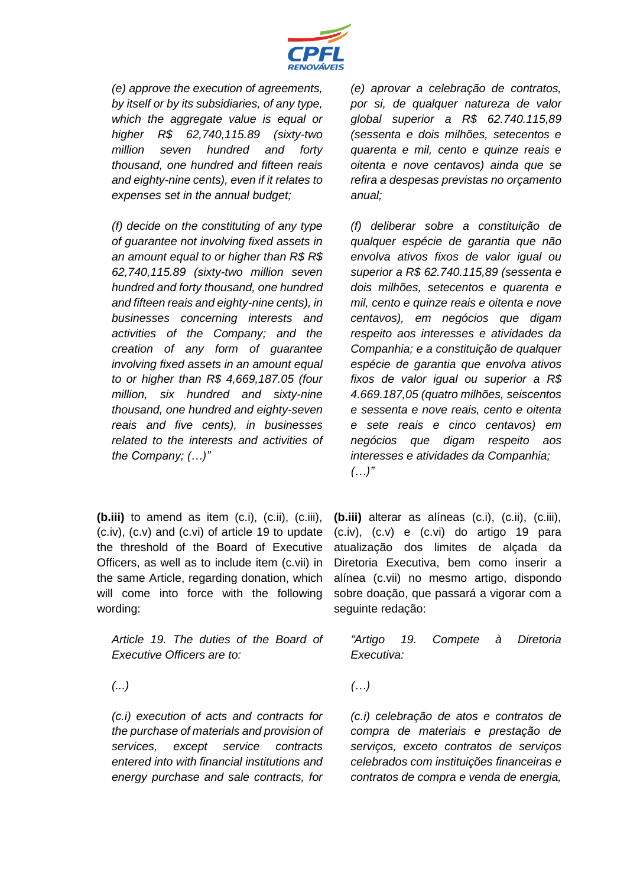

*(e) approve the execution of agreements, by itself or by its subsidiaries, of any type, which the aggregate value is equal or higher R\$ 62,740,115.89 (sixty-two million seven hundred and forty thousand, one hundred and fifteen reais and eighty-nine cents), even if it relates to expenses set in the annual budget;* 

*(f) decide on the constituting of any type of guarantee not involving fixed assets in an amount equal to or higher than R\$ R\$ 62,740,115.89 (sixty-two million seven hundred and forty thousand, one hundred and fifteen reais and eighty-nine cents), in businesses concerning interests and activities of the Company; and the creation of any form of guarantee involving fixed assets in an amount equal to or higher than R\$ 4,669,187.05 (four million, six hundred and sixty-nine thousand, one hundred and eighty-seven reais and five cents), in businesses related to the interests and activities of the Company; (…)"*

**(b.iii)** to amend as item (c.i), (c.ii), (c.iii), (c.iv), (c.v) and (c.vi) of article 19 to update the threshold of the Board of Executive Officers, as well as to include item (c.vii) in the same Article, regarding donation, which will come into force with the following wording:

*Article 19. The duties of the Board of Executive Officers are to:*

*(...)*

*(c.i) execution of acts and contracts for the purchase of materials and provision of services, except service contracts entered into with financial institutions and energy purchase and sale contracts, for*  *(e) aprovar a celebração de contratos, por si, de qualquer natureza de valor global superior a R\$ 62.740.115,89 (sessenta e dois milhões, setecentos e quarenta e mil, cento e quinze reais e oitenta e nove centavos) ainda que se refira a despesas previstas no orçamento anual;*

*(f) deliberar sobre a constituição de qualquer espécie de garantia que não envolva ativos fixos de valor igual ou superior a R\$ 62.740.115,89 (sessenta e dois milhões, setecentos e quarenta e mil, cento e quinze reais e oitenta e nove centavos), em negócios que digam respeito aos interesses e atividades da Companhia; e a constituição de qualquer espécie de garantia que envolva ativos fixos de valor igual ou superior a R\$ 4.669.187,05 (quatro milhões, seiscentos e sessenta e nove reais, cento e oitenta e sete reais e cinco centavos) em negócios que digam respeito aos interesses e atividades da Companhia; (…)"*

**(b.iii)** alterar as alíneas (c.i), (c.ii), (c.iii), (c.iv), (c.v) e (c.vi) do artigo 19 para atualização dos limites de alçada da Diretoria Executiva, bem como inserir a alínea (c.vii) no mesmo artigo, dispondo sobre doação, que passará a vigorar com a seguinte redação:

*"Artigo 19. Compete à Diretoria Executiva:* 

*(…)*

*(c.i) celebração de atos e contratos de compra de materiais e prestação de serviços, exceto contratos de serviços celebrados com instituições financeiras e contratos de compra e venda de energia,*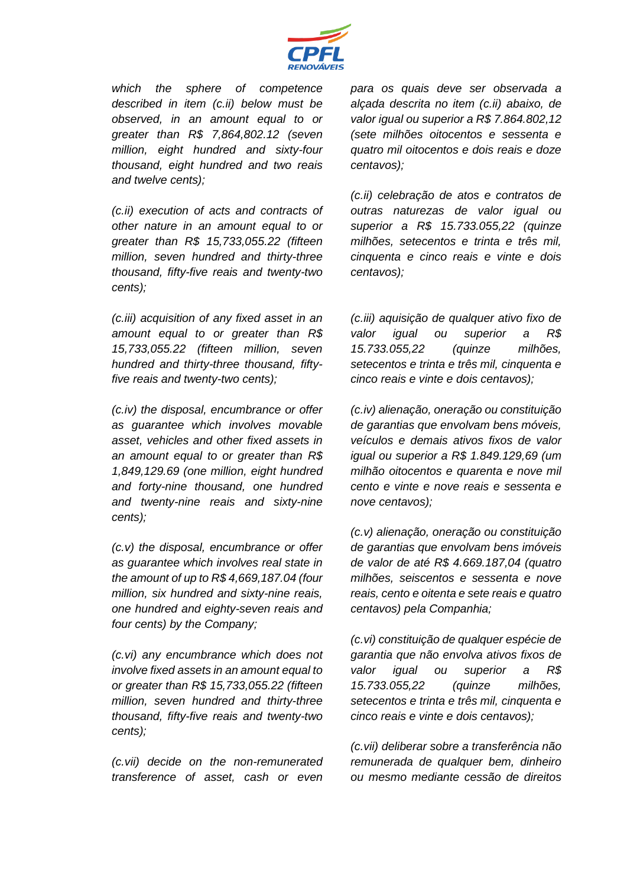

*which the sphere of competence described in item (c.ii) below must be observed, in an amount equal to or greater than R\$ 7,864,802.12 (seven million, eight hundred and sixty-four thousand, eight hundred and two reais and twelve cents);*

*(c.ii) execution of acts and contracts of other nature in an amount equal to or greater than R\$ 15,733,055.22 (fifteen million, seven hundred and thirty-three thousand, fifty-five reais and twenty-two cents);*

*(c.iii) acquisition of any fixed asset in an amount equal to or greater than R\$ 15,733,055.22 (fifteen million, seven hundred and thirty-three thousand, fiftyfive reais and twenty-two cents);*

*(c.iv) the disposal, encumbrance or offer as guarantee which involves movable asset, vehicles and other fixed assets in an amount equal to or greater than R\$ 1,849,129.69 (one million, eight hundred and forty-nine thousand, one hundred and twenty-nine reais and sixty-nine cents);*

*(c.v) the disposal, encumbrance or offer as guarantee which involves real state in the amount of up to R\$ 4,669,187.04 (four million, six hundred and sixty-nine reais, one hundred and eighty-seven reais and four cents) by the Company;*

*(c.vi) any encumbrance which does not involve fixed assets in an amount equal to or greater than R\$ 15,733,055.22 (fifteen million, seven hundred and thirty-three thousand, fifty-five reais and twenty-two cents);*

*(c.vii) decide on the non-remunerated transference of asset, cash or even* 

*para os quais deve ser observada a alçada descrita no item (c.ii) abaixo, de valor igual ou superior a R\$ 7.864.802,12 (sete milhões oitocentos e sessenta e quatro mil oitocentos e dois reais e doze centavos);*

*(c.ii) celebração de atos e contratos de outras naturezas de valor igual ou superior a R\$ 15.733.055,22 (quinze milhões, setecentos e trinta e três mil, cinquenta e cinco reais e vinte e dois centavos);*

*(c.iii) aquisição de qualquer ativo fixo de valor igual ou superior a R\$ 15.733.055,22 (quinze milhões, setecentos e trinta e três mil, cinquenta e cinco reais e vinte e dois centavos);*

*(c.iv) alienação, oneração ou constituição de garantias que envolvam bens móveis, veículos e demais ativos fixos de valor igual ou superior a R\$ 1.849.129,69 (um milhão oitocentos e quarenta e nove mil cento e vinte e nove reais e sessenta e nove centavos);*

*(c.v) alienação, oneração ou constituição de garantias que envolvam bens imóveis de valor de até R\$ 4.669.187,04 (quatro milhões, seiscentos e sessenta e nove reais, cento e oitenta e sete reais e quatro centavos) pela Companhia;*

*(c.vi) constituição de qualquer espécie de garantia que não envolva ativos fixos de valor igual ou superior a R\$ 15.733.055,22 (quinze milhões, setecentos e trinta e três mil, cinquenta e cinco reais e vinte e dois centavos);* 

*(c.vii) deliberar sobre a transferência não remunerada de qualquer bem, dinheiro ou mesmo mediante cessão de direitos*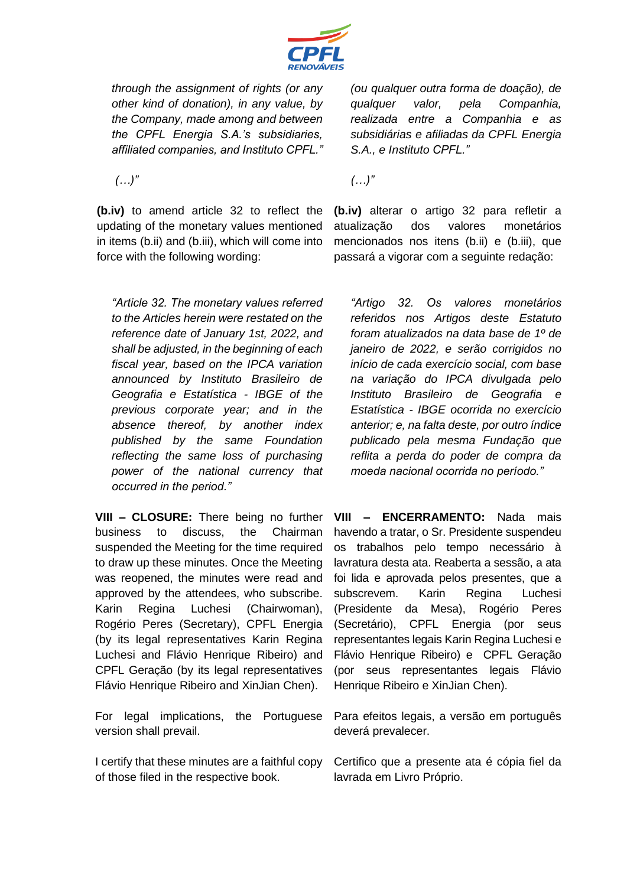

*through the assignment of rights (or any other kind of donation), in any value, by the Company, made among and between the CPFL Energia S.A.'s subsidiaries, affiliated companies, and Instituto CPFL."*

*(…)"*

**(b.iv)** to amend article 32 to reflect the updating of the monetary values mentioned in items (b.ii) and (b.iii), which will come into force with the following wording:

*(ou qualquer outra forma de doação), de qualquer valor, pela Companhia, realizada entre a Companhia e as subsidiárias e afiliadas da CPFL Energia S.A., e Instituto CPFL."*

*(…)"*

**(b.iv)** alterar o artigo 32 para refletir a atualização dos valores monetários mencionados nos itens (b.ii) e (b.iii), que passará a vigorar com a seguinte redação:

*"Article 32. The monetary values referred to the Articles herein were restated on the reference date of January 1st, 2022, and shall be adjusted, in the beginning of each fiscal year, based on the IPCA variation announced by Instituto Brasileiro de Geografia e Estatística - IBGE of the previous corporate year; and in the absence thereof, by another index published by the same Foundation reflecting the same loss of purchasing power of the national currency that occurred in the period."*

**VIII – CLOSURE:** There being no further business to discuss, the Chairman suspended the Meeting for the time required to draw up these minutes. Once the Meeting was reopened, the minutes were read and approved by the attendees, who subscribe. Karin Regina Luchesi (Chairwoman), Rogério Peres (Secretary), CPFL Energia (by its legal representatives Karin Regina Luchesi and Flávio Henrique Ribeiro) and CPFL Geração (by its legal representatives Flávio Henrique Ribeiro and XinJian Chen).

For legal implications, the Portuguese version shall prevail.

I certify that these minutes are a faithful copy of those filed in the respective book.

*"Artigo 32. Os valores monetários referidos nos Artigos deste Estatuto foram atualizados na data base de 1º de janeiro de 2022, e serão corrigidos no início de cada exercício social, com base na variação do IPCA divulgada pelo Instituto Brasileiro de Geografia e Estatística - IBGE ocorrida no exercício anterior; e, na falta deste, por outro índice publicado pela mesma Fundação que reflita a perda do poder de compra da moeda nacional ocorrida no período."*

**VIII – ENCERRAMENTO:** Nada mais havendo a tratar, o Sr. Presidente suspendeu os trabalhos pelo tempo necessário à lavratura desta ata. Reaberta a sessão, a ata foi lida e aprovada pelos presentes, que a subscrevem. Karin Regina Luchesi (Presidente da Mesa), Rogério Peres (Secretário), CPFL Energia (por seus representantes legais Karin Regina Luchesi e Flávio Henrique Ribeiro) e CPFL Geração (por seus representantes legais Flávio Henrique Ribeiro e XinJian Chen).

Para efeitos legais, a versão em português deverá prevalecer.

Certifico que a presente ata é cópia fiel da lavrada em Livro Próprio.